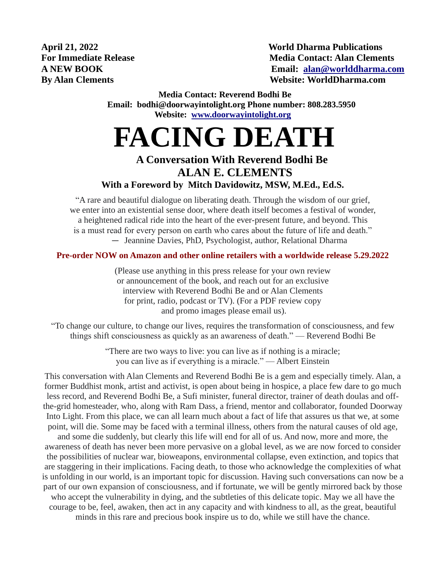**April 21, 2022 World Dharma Publications For Immediate Release Media Contact: Alan Clements A NEW BOOK Email: [alan@worlddharma.com](mailto:alan@worlddharma.com)  By Alan Clements** Website: WorldDharma.com

> **Media Contact: Reverend Bodhi Be Email: bodhi@doorwayintolight.org Phone number: 808.283.5950 Website: [www.doorwayintolight.org](http://www.doorwayintolight.org/)**

# **FACING DEATH**

### **A Conversation With Reverend Bodhi Be ALAN E. CLEMENTS With a Foreword by Mitch Davidowitz, MSW, M.Ed., Ed.S.**

"A rare and beautiful dialogue on liberating death. Through the wisdom of our grief, we enter into an existential sense door, where death itself becomes a festival of wonder, a heightened radical ride into the heart of the ever-present future, and beyond. This is a must read for every person on earth who cares about the future of life and death." — Jeannine Davies, PhD, Psychologist, author, Relational Dharma

**Pre-order NOW on Amazon and other online retailers with a worldwide release 5.29.2022** 

(Please use anything in this press release for your own review or announcement of the book, and reach out for an exclusive interview with Reverend Bodhi Be and or Alan Clements for print, radio, podcast or TV). (For a PDF review copy and promo images please email us).

"To change our culture, to change our lives, requires the transformation of consciousness, and few things shift consciousness as quickly as an awareness of death." — Reverend Bodhi Be

> "There are two ways to live: you can live as if nothing is a miracle; you can live as if everything is a miracle." — Albert Einstein

This conversation with Alan Clements and Reverend Bodhi Be is a gem and especially timely. Alan, a former Buddhist monk, artist and activist, is open about being in hospice, a place few dare to go much less record, and Reverend Bodhi Be, a Sufi minister, funeral director, trainer of death doulas and offthe-grid homesteader, who, along with Ram Dass, a friend, mentor and collaborator, founded Doorway Into Light. From this place, we can all learn much about a fact of life that assures us that we, at some point, will die. Some may be faced with a terminal illness, others from the natural causes of old age, and some die suddenly, but clearly this life will end for all of us. And now, more and more, the awareness of death has never been more pervasive on a global level, as we are now forced to consider the possibilities of nuclear war, bioweapons, environmental collapse, even extinction, and topics that are staggering in their implications. Facing death, to those who acknowledge the complexities of what is unfolding in our world, is an important topic for discussion. Having such conversations can now be a part of our own expansion of consciousness, and if fortunate, we will be gently mirrored back by those who accept the vulnerability in dying, and the subtleties of this delicate topic. May we all have the courage to be, feel, awaken, then act in any capacity and with kindness to all, as the great, beautiful minds in this rare and precious book inspire us to do, while we still have the chance.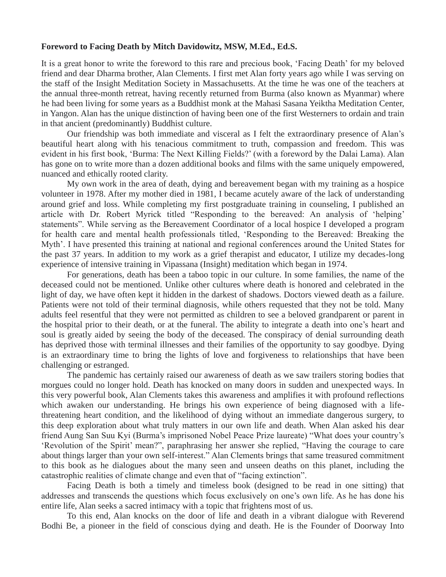#### **Foreword to Facing Death by Mitch Davidowitz, MSW, M.Ed., Ed.S.**

It is a great honor to write the foreword to this rare and precious book, 'Facing Death' for my beloved friend and dear Dharma brother, Alan Clements. I first met Alan forty years ago while I was serving on the staff of the Insight Meditation Society in Massachusetts. At the time he was one of the teachers at the annual three-month retreat, having recently returned from Burma (also known as Myanmar) where he had been living for some years as a Buddhist monk at the Mahasi Sasana Yeiktha Meditation Center, in Yangon. Alan has the unique distinction of having been one of the first Westerners to ordain and train in that ancient (predominantly) Buddhist culture.

Our friendship was both immediate and visceral as I felt the extraordinary presence of Alan's beautiful heart along with his tenacious commitment to truth, compassion and freedom. This was evident in his first book, 'Burma: The Next Killing Fields?' (with a foreword by the Dalai Lama). Alan has gone on to write more than a dozen additional books and films with the same uniquely empowered, nuanced and ethically rooted clarity.

My own work in the area of death, dying and bereavement began with my training as a hospice volunteer in 1978. After my mother died in 1981, I became acutely aware of the lack of understanding around grief and loss. While completing my first postgraduate training in counseling, I published an article with Dr. Robert Myrick titled "Responding to the bereaved: An analysis of 'helping' statements". While serving as the Bereavement Coordinator of a local hospice I developed a program for health care and mental health professionals titled, 'Responding to the Bereaved: Breaking the Myth'. I have presented this training at national and regional conferences around the United States for the past 37 years. In addition to my work as a grief therapist and educator, I utilize my decades-long experience of intensive training in Vipassana (Insight) meditation which began in 1974.

For generations, death has been a taboo topic in our culture. In some families, the name of the deceased could not be mentioned. Unlike other cultures where death is honored and celebrated in the light of day, we have often kept it hidden in the darkest of shadows. Doctors viewed death as a failure. Patients were not told of their terminal diagnosis, while others requested that they not be told. Many adults feel resentful that they were not permitted as children to see a beloved grandparent or parent in the hospital prior to their death, or at the funeral. The ability to integrate a death into one's heart and soul is greatly aided by seeing the body of the deceased. The conspiracy of denial surrounding death has deprived those with terminal illnesses and their families of the opportunity to say goodbye. Dying is an extraordinary time to bring the lights of love and forgiveness to relationships that have been challenging or estranged.

The pandemic has certainly raised our awareness of death as we saw trailers storing bodies that morgues could no longer hold. Death has knocked on many doors in sudden and unexpected ways. In this very powerful book, Alan Clements takes this awareness and amplifies it with profound reflections which awaken our understanding. He brings his own experience of being diagnosed with a lifethreatening heart condition, and the likelihood of dying without an immediate dangerous surgery, to this deep exploration about what truly matters in our own life and death. When Alan asked his dear friend Aung San Suu Kyi (Burma's imprisoned Nobel Peace Prize laureate) "What does your country's 'Revolution of the Spirit' mean?", paraphrasing her answer she replied, "Having the courage to care about things larger than your own self-interest." Alan Clements brings that same treasured commitment to this book as he dialogues about the many seen and unseen deaths on this planet, including the catastrophic realities of climate change and even that of "facing extinction".

Facing Death is both a timely and timeless book (designed to be read in one sitting) that addresses and transcends the questions which focus exclusively on one's own life. As he has done his entire life, Alan seeks a sacred intimacy with a topic that frightens most of us.

To this end, Alan knocks on the door of life and death in a vibrant dialogue with Reverend Bodhi Be, a pioneer in the field of conscious dying and death. He is the Founder of Doorway Into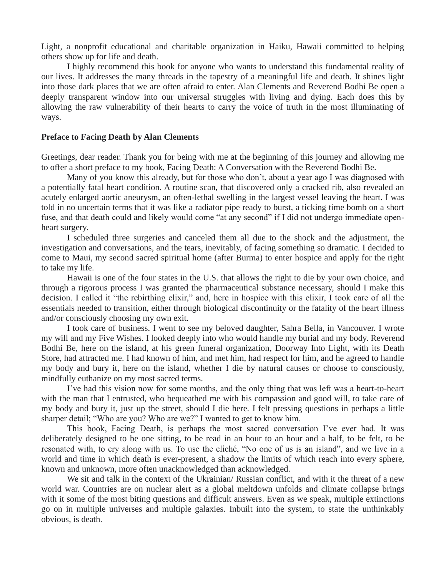Light, a nonprofit educational and charitable organization in Haiku, Hawaii committed to helping others show up for life and death.

I highly recommend this book for anyone who wants to understand this fundamental reality of our lives. It addresses the many threads in the tapestry of a meaningful life and death. It shines light into those dark places that we are often afraid to enter. Alan Clements and Reverend Bodhi Be open a deeply transparent window into our universal struggles with living and dying. Each does this by allowing the raw vulnerability of their hearts to carry the voice of truth in the most illuminating of ways.

#### **Preface to Facing Death by Alan Clements**

Greetings, dear reader. Thank you for being with me at the beginning of this journey and allowing me to offer a short preface to my book, Facing Death: A Conversation with the Reverend Bodhi Be.

Many of you know this already, but for those who don't, about a year ago I was diagnosed with a potentially fatal heart condition. A routine scan, that discovered only a cracked rib, also revealed an acutely enlarged aortic aneurysm, an often-lethal swelling in the largest vessel leaving the heart. I was told in no uncertain terms that it was like a radiator pipe ready to burst, a ticking time bomb on a short fuse, and that death could and likely would come "at any second" if I did not undergo immediate openheart surgery.

I scheduled three surgeries and canceled them all due to the shock and the adjustment, the investigation and conversations, and the tears, inevitably, of facing something so dramatic. I decided to come to Maui, my second sacred spiritual home (after Burma) to enter hospice and apply for the right to take my life.

Hawaii is one of the four states in the U.S. that allows the right to die by your own choice, and through a rigorous process I was granted the pharmaceutical substance necessary, should I make this decision. I called it "the rebirthing elixir," and, here in hospice with this elixir, I took care of all the essentials needed to transition, either through biological discontinuity or the fatality of the heart illness and/or consciously choosing my own exit.

I took care of business. I went to see my beloved daughter, Sahra Bella, in Vancouver. I wrote my will and my Five Wishes. I looked deeply into who would handle my burial and my body. Reverend Bodhi Be, here on the island, at his green funeral organization, Doorway Into Light, with its Death Store, had attracted me. I had known of him, and met him, had respect for him, and he agreed to handle my body and bury it, here on the island, whether I die by natural causes or choose to consciously, mindfully euthanize on my most sacred terms.

I've had this vision now for some months, and the only thing that was left was a heart-to-heart with the man that I entrusted, who bequeathed me with his compassion and good will, to take care of my body and bury it, just up the street, should I die here. I felt pressing questions in perhaps a little sharper detail; "Who are you? Who are we?" I wanted to get to know him.

This book, Facing Death, is perhaps the most sacred conversation I've ever had. It was deliberately designed to be one sitting, to be read in an hour to an hour and a half, to be felt, to be resonated with, to cry along with us. To use the cliché, "No one of us is an island", and we live in a world and time in which death is ever-present, a shadow the limits of which reach into every sphere, known and unknown, more often unacknowledged than acknowledged.

We sit and talk in the context of the Ukrainian/ Russian conflict, and with it the threat of a new world war. Countries are on nuclear alert as a global meltdown unfolds and climate collapse brings with it some of the most biting questions and difficult answers. Even as we speak, multiple extinctions go on in multiple universes and multiple galaxies. Inbuilt into the system, to state the unthinkably obvious, is death.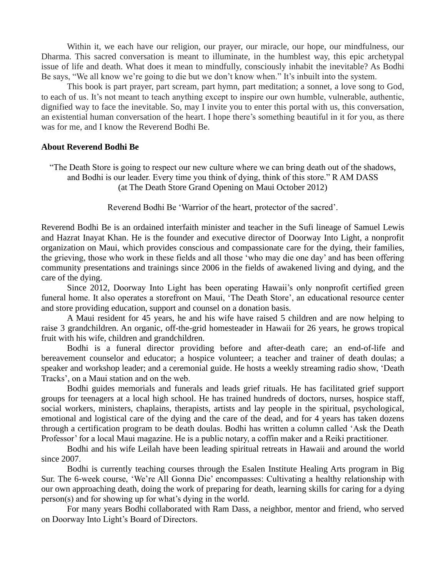Within it, we each have our religion, our prayer, our miracle, our hope, our mindfulness, our Dharma. This sacred conversation is meant to illuminate, in the humblest way, this epic archetypal issue of life and death. What does it mean to mindfully, consciously inhabit the inevitable? As Bodhi Be says, "We all know we're going to die but we don't know when." It's inbuilt into the system.

This book is part prayer, part scream, part hymn, part meditation; a sonnet, a love song to God, to each of us. It's not meant to teach anything except to inspire our own humble, vulnerable, authentic, dignified way to face the inevitable. So, may I invite you to enter this portal with us, this conversation, an existential human conversation of the heart. I hope there's something beautiful in it for you, as there was for me, and I know the Reverend Bodhi Be.

#### **About Reverend Bodhi Be**

"The Death Store is going to respect our new culture where we can bring death out of the shadows, and Bodhi is our leader. Every time you think of dying, think of this store." R AM DASS (at The Death Store Grand Opening on Maui October 2012)

Reverend Bodhi Be 'Warrior of the heart, protector of the sacred'.

Reverend Bodhi Be is an ordained interfaith minister and teacher in the Sufi lineage of Samuel Lewis and Hazrat Inayat Khan. He is the founder and executive director of Doorway Into Light, a nonprofit organization on Maui, which provides conscious and compassionate care for the dying, their families, the grieving, those who work in these fields and all those 'who may die one day' and has been offering community presentations and trainings since 2006 in the fields of awakened living and dying, and the care of the dying.

Since 2012, Doorway Into Light has been operating Hawaii's only nonprofit certified green funeral home. It also operates a storefront on Maui, 'The Death Store', an educational resource center and store providing education, support and counsel on a donation basis.

A Maui resident for 45 years, he and his wife have raised 5 children and are now helping to raise 3 grandchildren. An organic, off-the-grid homesteader in Hawaii for 26 years, he grows tropical fruit with his wife, children and grandchildren.

Bodhi is a funeral director providing before and after-death care; an end-of-life and bereavement counselor and educator; a hospice volunteer; a teacher and trainer of death doulas; a speaker and workshop leader; and a ceremonial guide. He hosts a weekly streaming radio show, 'Death Tracks', on a Maui station and on the web.

Bodhi guides memorials and funerals and leads grief rituals. He has facilitated grief support groups for teenagers at a local high school. He has trained hundreds of doctors, nurses, hospice staff, social workers, ministers, chaplains, therapists, artists and lay people in the spiritual, psychological, emotional and logistical care of the dying and the care of the dead, and for 4 years has taken dozens through a certification program to be death doulas. Bodhi has written a column called 'Ask the Death Professor' for a local Maui magazine. He is a public notary, a coffin maker and a Reiki practitioner.

Bodhi and his wife Leilah have been leading spiritual retreats in Hawaii and around the world since 2007.

Bodhi is currently teaching courses through the Esalen Institute Healing Arts program in Big Sur. The 6-week course, 'We're All Gonna Die' encompasses: Cultivating a healthy relationship with our own approaching death, doing the work of preparing for death, learning skills for caring for a dying person(s) and for showing up for what's dying in the world.

For many years Bodhi collaborated with Ram Dass, a neighbor, mentor and friend, who served on Doorway Into Light's Board of Directors.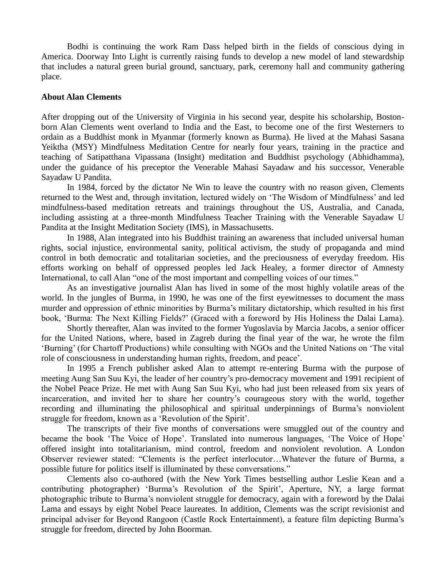Bodhi is continuing the work Ram Dass helped birth in the fields of conscious dying in America. Doorway Into Light is currently raising funds to develop a new model of land stewardship that includes a natural green burial ground, sanctuary, park, ceremony hall and community gathering place.

#### **About Alan Clements**

After dropping out of the University of Virginia in his second year, despite his scholarship, Bostonborn Alan Clements went overland to India and the East, to become one of the first Westerners to ordain as a Buddhist monk in Myanmar (formerly known as Burma). He lived at the Mahasi Sasana Yeiktha (MSY) Mindfulness Meditation Centre for nearly four years, training in the practice and teaching of Satipatthana Vipassana (Insight) meditation and Buddhist psychology (Abhidhamma), under the guidance of his preceptor the Venerable Mahasi Sayadaw and his successor, Venerable Sayadaw U Pandita.

In 1984, forced by the dictator Ne Win to leave the country with no reason given, Clements returned to the West and, through invitation, lectured widely on 'The Wisdom of Mindfulness' and led mindfulness-based meditation retreats and trainings throughout the US, Australia, and Canada, including assisting at a three-month Mindfulness Teacher Training with the Venerable Sayadaw U Pandita at the Insight Meditation Society (IMS), in Massachusetts.

In 1988, Alan integrated into his Buddhist training an awareness that included universal human rights, social injustice, environmental sanity, political activism, the study of propaganda and mind control in both democratic and totalitarian societies, and the preciousness of everyday freedom. His efforts working on behalf of oppressed peoples led Jack Healey, a former director of Amnesty International, to call Alan "one of the most important and compelling voices of our times."

As an investigative journalist Alan has lived in some of the most highly volatile areas of the world. In the jungles of Burma, in 1990, he was one of the first eyewitnesses to document the mass murder and oppression of ethnic minorities by Burma's military dictatorship, which resulted in his first book, 'Burma: The Next Killing Fields?' (Graced with a foreword by His Holiness the Dalai Lama).

Shortly thereafter, Alan was invited to the former Yugoslavia by Marcia Jacobs, a senior officer for the United Nations, where, based in Zagreb during the final year of the war, he wrote the film 'Burning' (for Chartoff Productions) while consulting with NGOs and the United Nations on 'The vital role of consciousness in understanding human rights, freedom, and peace'.

In 1995 a French publisher asked Alan to attempt re-entering Burma with the purpose of meeting Aung San Suu Kyi, the leader of her country's pro-democracy movement and 1991 recipient of the Nobel Peace Prize. He met with Aung San Suu Kyi, who had just been released from six years of incarceration, and invited her to share her country's courageous story with the world, together recording and illuminating the philosophical and spiritual underpinnings of Burma's nonviolent struggle for freedom, known as a 'Revolution of the Spirit'.

The transcripts of their five months of conversations were smuggled out of the country and became the book 'The Voice of Hope'. Translated into numerous languages, 'The Voice of Hope' offered insight into totalitarianism, mind control, freedom and nonviolent revolution. A London Observer reviewer stated: "Clements is the perfect interlocutor…Whatever the future of Burma, a possible future for politics itself is illuminated by these conversations."

Clements also co-authored (with the New York Times bestselling author Leslie Kean and a contributing photographer) 'Burma's Revolution of the Spirit', Aperture, NY, a large format photographic tribute to Burma's nonviolent struggle for democracy, again with a foreword by the Dalai Lama and essays by eight Nobel Peace laureates. In addition, Clements was the script revisionist and principal adviser for Beyond Rangoon (Castle Rock Entertainment), a feature film depicting Burma's struggle for freedom, directed by John Boorman.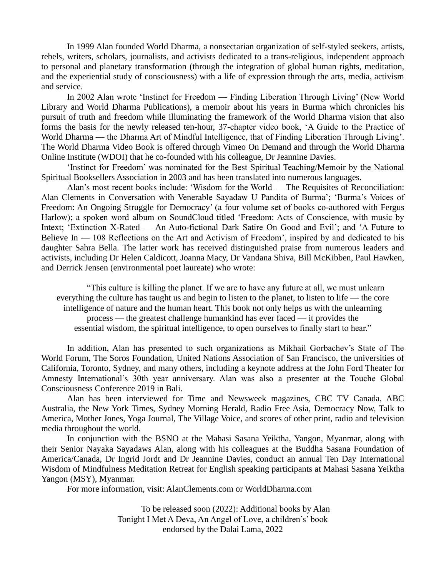In 1999 Alan founded World Dharma, a nonsectarian organization of self-styled seekers, artists, rebels, writers, scholars, journalists, and activists dedicated to a trans-religious, independent approach to personal and planetary transformation (through the integration of global human rights, meditation, and the experiential study of consciousness) with a life of expression through the arts, media, activism and service.

In 2002 Alan wrote 'Instinct for Freedom — Finding Liberation Through Living' (New World Library and World Dharma Publications), a memoir about his years in Burma which chronicles his pursuit of truth and freedom while illuminating the framework of the World Dharma vision that also forms the basis for the newly released ten-hour, 37-chapter video book, 'A Guide to the Practice of World Dharma — the Dharma Art of Mindful Intelligence, that of Finding Liberation Through Living'. The World Dharma Video Book is offered through Vimeo On Demand and through the World Dharma Online Institute (WDOI) that he co-founded with his colleague, Dr Jeannine Davies.

'Instinct for Freedom' was nominated for the Best Spiritual Teaching/Memoir by the National Spiritual Booksellers Association in 2003 and has been translated into numerous languages.

Alan's most recent books include: 'Wisdom for the World — The Requisites of Reconciliation: Alan Clements in Conversation with Venerable Sayadaw U Pandita of Burma'; 'Burma's Voices of Freedom: An Ongoing Struggle for Democracy' (a four volume set of books co-authored with Fergus Harlow); a spoken word album on SoundCloud titled 'Freedom: Acts of Conscience, with music by Intext; 'Extinction X-Rated — An Auto-fictional Dark Satire On Good and Evil'; and 'A Future to Believe In — 108 Reflections on the Art and Activism of Freedom', inspired by and dedicated to his daughter Sahra Bella. The latter work has received distinguished praise from numerous leaders and activists, including Dr Helen Caldicott, Joanna Macy, Dr Vandana Shiva, Bill McKibben, Paul Hawken, and Derrick Jensen (environmental poet laureate) who wrote:

"This culture is killing the planet. If we are to have any future at all, we must unlearn everything the culture has taught us and begin to listen to the planet, to listen to life — the core intelligence of nature and the human heart. This book not only helps us with the unlearning process — the greatest challenge humankind has ever faced — it provides the essential wisdom, the spiritual intelligence, to open ourselves to finally start to hear."

In addition, Alan has presented to such organizations as Mikhail Gorbachev's State of The World Forum, The Soros Foundation, United Nations Association of San Francisco, the universities of California, Toronto, Sydney, and many others, including a keynote address at the John Ford Theater for Amnesty International's 30th year anniversary. Alan was also a presenter at the Touche Global Consciousness Conference 2019 in Bali.

Alan has been interviewed for Time and Newsweek magazines, CBC TV Canada, ABC Australia, the New York Times, Sydney Morning Herald, Radio Free Asia, Democracy Now, Talk to America, Mother Jones, Yoga Journal, The Village Voice, and scores of other print, radio and television media throughout the world.

In conjunction with the BSNO at the Mahasi Sasana Yeiktha, Yangon, Myanmar, along with their Senior Nayaka Sayadaws Alan, along with his colleagues at the Buddha Sasana Foundation of America/Canada, Dr Ingrid Jordt and Dr Jeannine Davies, conduct an annual Ten Day International Wisdom of Mindfulness Meditation Retreat for English speaking participants at Mahasi Sasana Yeiktha Yangon (MSY), Myanmar.

For more information, visit: AlanClements.com or WorldDharma.com

To be released soon (2022): Additional books by Alan Tonight I Met A Deva, An Angel of Love, a children's' book endorsed by the Dalai Lama, 2022